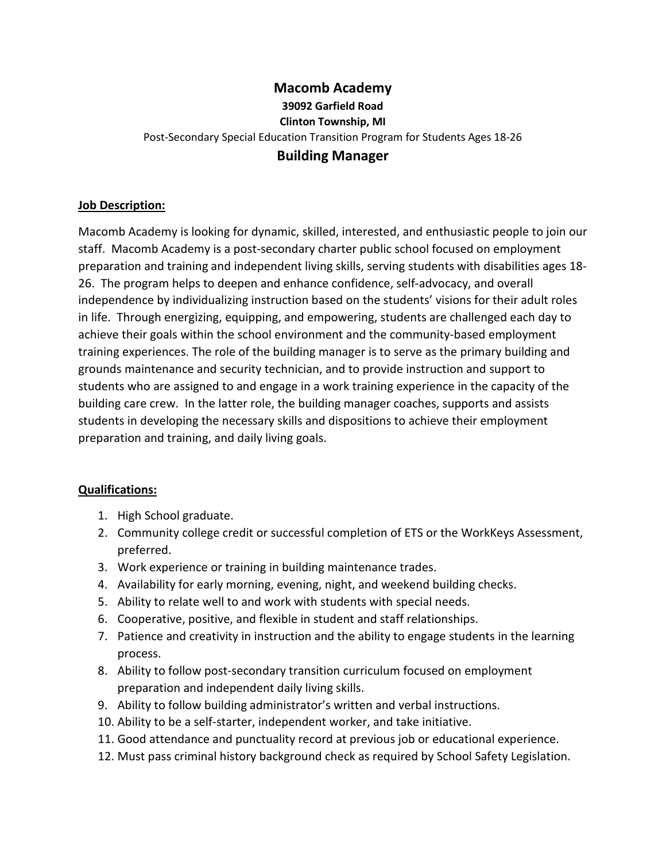## **Macomb Academy 39092 Garfield Road Clinton Township, MI** Post-Secondary Special Education Transition Program for Students Ages 18-26 **Building Manager**

## **Job Description:**

Macomb Academy is looking for dynamic, skilled, interested, and enthusiastic people to join our staff. Macomb Academy is a post-secondary charter public school focused on employment preparation and training and independent living skills, serving students with disabilities ages 18- 26. The program helps to deepen and enhance confidence, self-advocacy, and overall independence by individualizing instruction based on the students' visions for their adult roles in life. Through energizing, equipping, and empowering, students are challenged each day to achieve their goals within the school environment and the community-based employment training experiences. The role of the building manager is to serve as the primary building and grounds maintenance and security technician, and to provide instruction and support to students who are assigned to and engage in a work training experience in the capacity of the building care crew. In the latter role, the building manager coaches, supports and assists students in developing the necessary skills and dispositions to achieve their employment preparation and training, and daily living goals.

## **Qualifications:**

- 1. High School graduate.
- 2. Community college credit or successful completion of ETS or the WorkKeys Assessment, preferred.
- 3. Work experience or training in building maintenance trades.
- 4. Availability for early morning, evening, night, and weekend building checks.
- 5. Ability to relate well to and work with students with special needs.
- 6. Cooperative, positive, and flexible in student and staff relationships.
- 7. Patience and creativity in instruction and the ability to engage students in the learning process.
- 8. Ability to follow post-secondary transition curriculum focused on employment preparation and independent daily living skills.
- 9. Ability to follow building administrator's written and verbal instructions.
- 10. Ability to be a self-starter, independent worker, and take initiative.
- 11. Good attendance and punctuality record at previous job or educational experience.
- 12. Must pass criminal history background check as required by School Safety Legislation.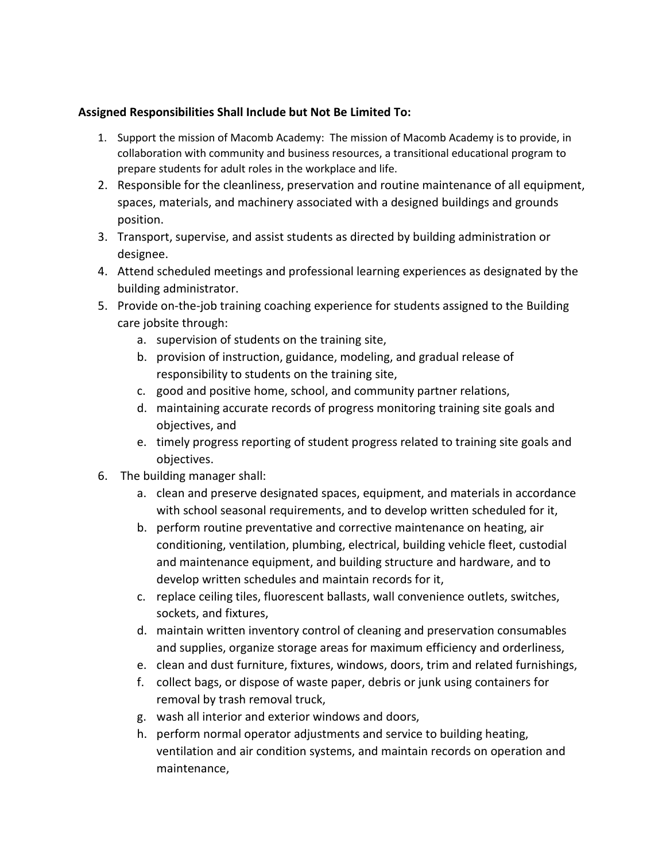## **Assigned Responsibilities Shall Include but Not Be Limited To:**

- 1. Support the mission of Macomb Academy: The mission of Macomb Academy is to provide, in collaboration with community and business resources, a transitional educational program to prepare students for adult roles in the workplace and life.
- 2. Responsible for the cleanliness, preservation and routine maintenance of all equipment, spaces, materials, and machinery associated with a designed buildings and grounds position.
- 3. Transport, supervise, and assist students as directed by building administration or designee.
- 4. Attend scheduled meetings and professional learning experiences as designated by the building administrator.
- 5. Provide on-the-job training coaching experience for students assigned to the Building care jobsite through:
	- a. supervision of students on the training site,
	- b. provision of instruction, guidance, modeling, and gradual release of responsibility to students on the training site,
	- c. good and positive home, school, and community partner relations,
	- d. maintaining accurate records of progress monitoring training site goals and objectives, and
	- e. timely progress reporting of student progress related to training site goals and objectives.
- 6. The building manager shall:
	- a. clean and preserve designated spaces, equipment, and materials in accordance with school seasonal requirements, and to develop written scheduled for it,
	- b. perform routine preventative and corrective maintenance on heating, air conditioning, ventilation, plumbing, electrical, building vehicle fleet, custodial and maintenance equipment, and building structure and hardware, and to develop written schedules and maintain records for it,
	- c. replace ceiling tiles, fluorescent ballasts, wall convenience outlets, switches, sockets, and fixtures,
	- d. maintain written inventory control of cleaning and preservation consumables and supplies, organize storage areas for maximum efficiency and orderliness,
	- e. clean and dust furniture, fixtures, windows, doors, trim and related furnishings,
	- f. collect bags, or dispose of waste paper, debris or junk using containers for removal by trash removal truck,
	- g. wash all interior and exterior windows and doors,
	- h. perform normal operator adjustments and service to building heating, ventilation and air condition systems, and maintain records on operation and maintenance,